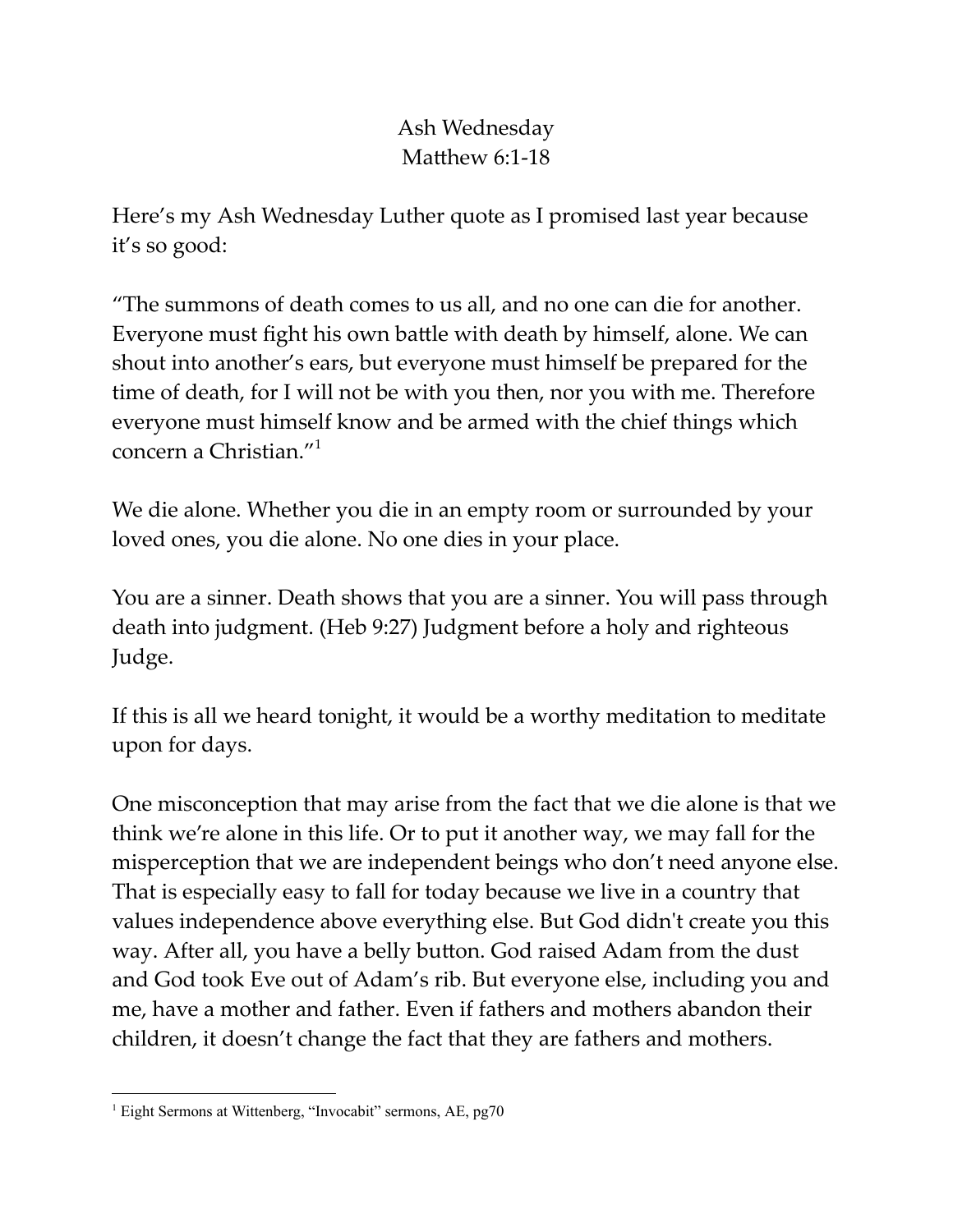## Ash Wednesday Matthew  $6:1-18$

Here's my Ash Wednesday Luther quote as I promised last year because it's so good:

"The summons of death comes to us all, and no one can die for another. Everyone must fight his own battle with death by himself, alone. We can shout into another's ears, but everyone must himself be prepared for the time of death, for I will not be with you then, nor you with me. Therefore everyone must himself know and be armed with the chief things which concern a Christian." 1

We die alone. Whether you die in an empty room or surrounded by your loved ones, you die alone. No one dies in your place.

You are a sinner. Death shows that you are a sinner. You will pass through death into judgment. (Heb 9:27) Judgment before a holy and righteous Judge.

If this is all we heard tonight, it would be a worthy meditation to meditate upon for days.

One misconception that may arise from the fact that we die alone is that we think we're alone in this life. Or to put it another way, we may fall for the misperception that we are independent beings who don't need anyone else. That is especially easy to fall for today because we live in a country that values independence above everything else. But God didn't create you this way. After all, you have a belly button. God raised Adam from the dust and God took Eve out of Adam's rib. But everyone else, including you and me, have a mother and father. Even if fathers and mothers abandon their children, it doesn't change the fact that they are fathers and mothers.

<sup>&</sup>lt;sup>1</sup> Eight Sermons at Wittenberg, "Invocabit" sermons, AE, pg70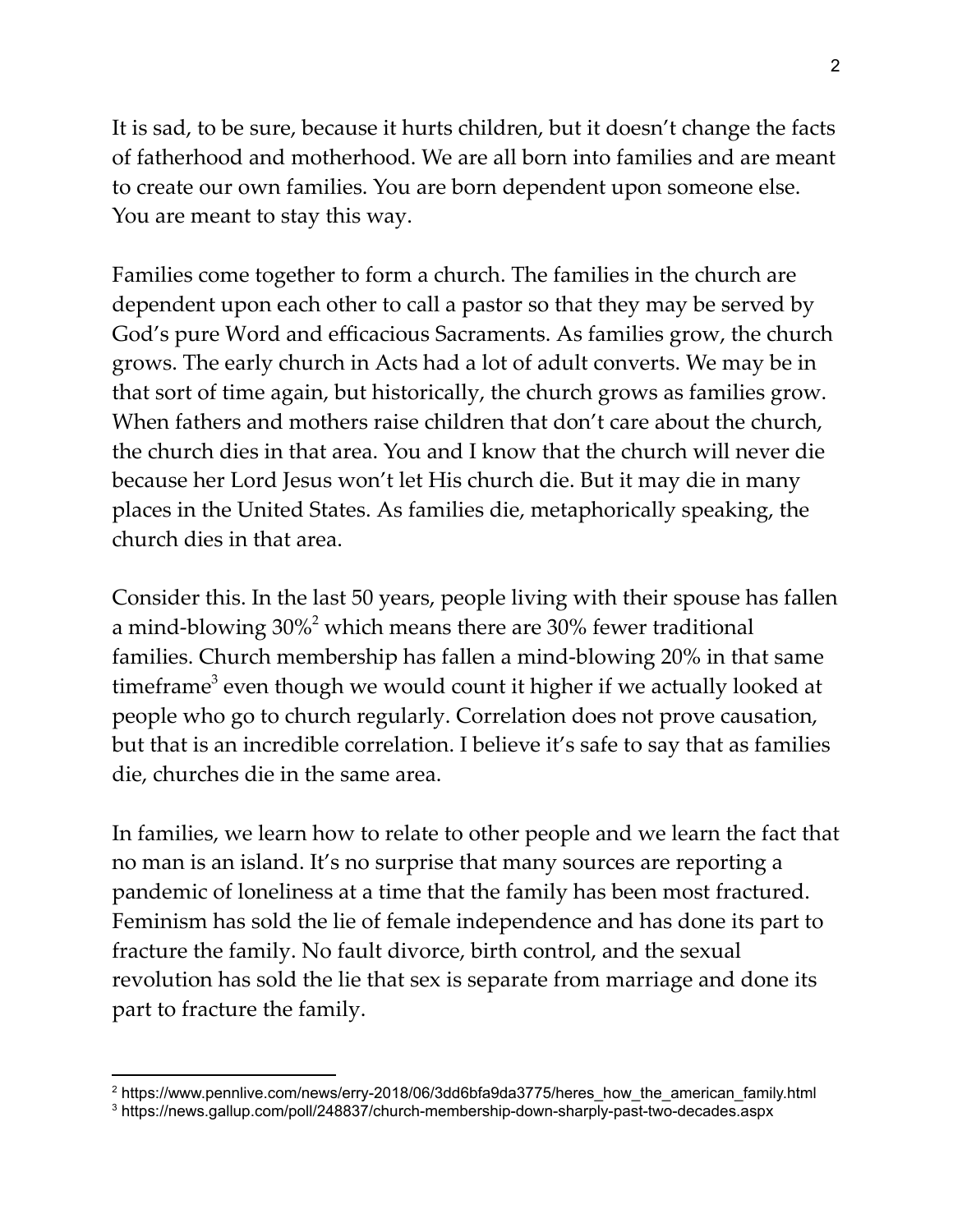It is sad, to be sure, because it hurts children, but it doesn't change the facts of fatherhood and motherhood. We are all born into families and are meant to create our own families. You are born dependent upon someone else. You are meant to stay this way.

Families come together to form a church. The families in the church are dependent upon each other to call a pastor so that they may be served by God's pure Word and efficacious Sacraments. As families grow, the church grows. The early church in Acts had a lot of adult converts. We may be in that sort of time again, but historically, the church grows as families grow. When fathers and mothers raise children that don't care about the church, the church dies in that area. You and I know that the church will never die because her Lord Jesus won't let His church die. But it may die in many places in the United States. As families die, metaphorically speaking, the church dies in that area.

Consider this. In the last 50 years, people living with their spouse has fallen a mind-blowing  $30\% ^2$  which means there are  $30\%$  fewer traditional families. Church membership has fallen a mind-blowing 20% in that same timeframe<sup>3</sup> even though we would count it higher if we actually looked at people who go to church regularly. Correlation does not prove causation, but that is an incredible correlation. I believe it's safe to say that as families die, churches die in the same area.

In families, we learn how to relate to other people and we learn the fact that no man is an island. It's no surprise that many sources are reporting a pandemic of loneliness at a time that the family has been most fractured. Feminism has sold the lie of female independence and has done its part to fracture the family. No fault divorce, birth control, and the sexual revolution has sold the lie that sex is separate from marriage and done its part to fracture the family.

<sup>&</sup>lt;sup>2</sup> https://www.pennlive.com/news/erry-2018/06/3dd6bfa9da3775/heres\_how\_the\_american\_family.html

<sup>3</sup> https://news.gallup.com/poll/248837/church-membership-down-sharply-past-two-decades.aspx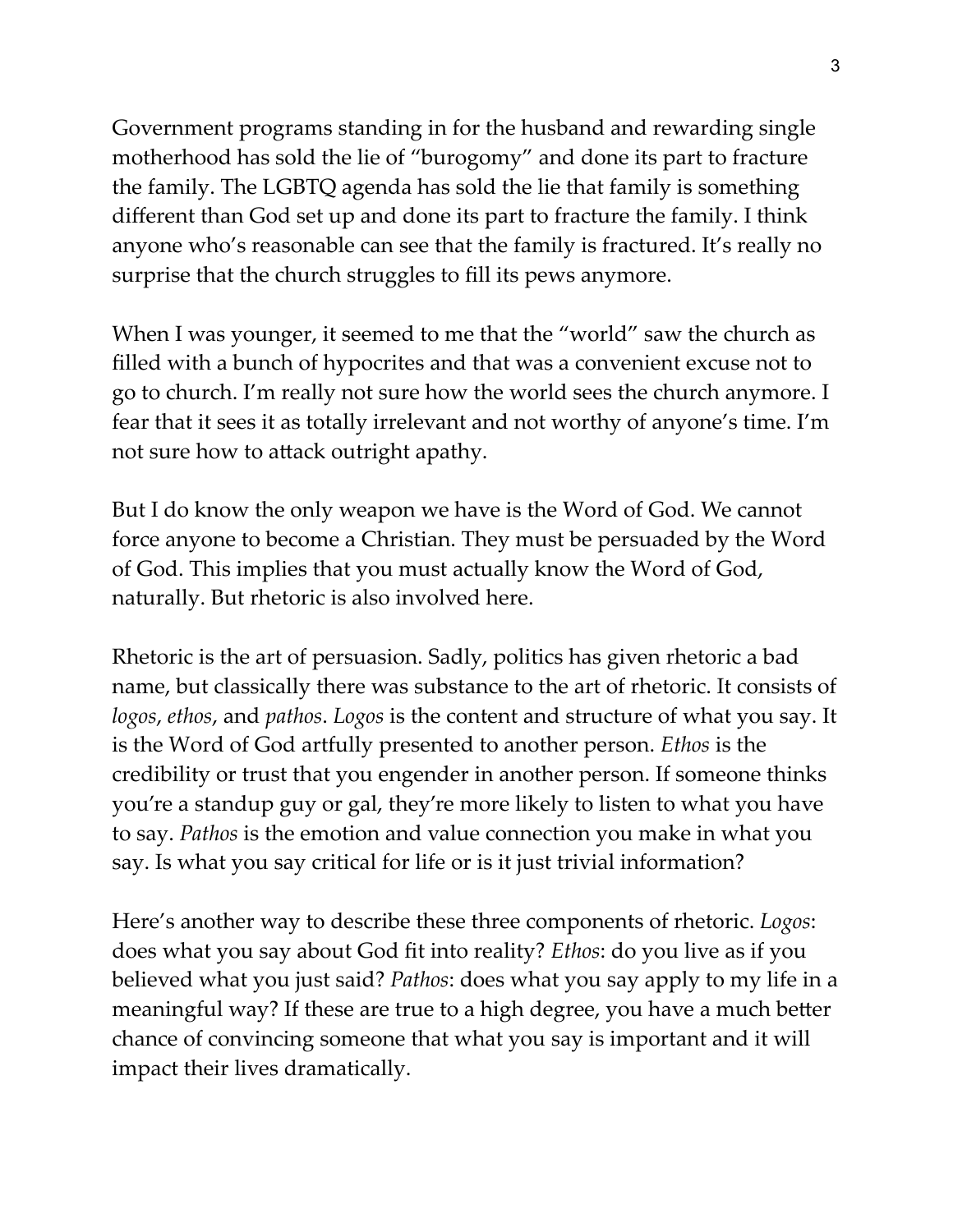Government programs standing in for the husband and rewarding single motherhood has sold the lie of "burogomy" and done its part to fracture the family. The LGBTQ agenda has sold the lie that family is something different than God set up and done its part to fracture the family. I think anyone who's reasonable can see that the family is fractured. It's really no surprise that the church struggles to fill its pews anymore.

When I was younger, it seemed to me that the "world" saw the church as filled with a bunch of hypocrites and that was a convenient excuse not to go to church. I'm really not sure how the world sees the church anymore. I fear that it sees it as totally irrelevant and not worthy of anyone's time. I'm not sure how to attack outright apathy.

But I do know the only weapon we have is the Word of God. We cannot force anyone to become a Christian. They must be persuaded by the Word of God. This implies that you must actually know the Word of God, naturally. But rhetoric is also involved here.

Rhetoric is the art of persuasion. Sadly, politics has given rhetoric a bad name, but classically there was substance to the art of rhetoric. It consists of *logos*, *ethos*, and *pathos*. *Logos* is the content and structure of what you say. It is the Word of God artfully presented to another person. *Ethos* is the credibility or trust that you engender in another person. If someone thinks you're a standup guy or gal, they're more likely to listen to what you have to say. *Pathos* is the emotion and value connection you make in what you say. Is what you say critical for life or is it just trivial information?

Here's another way to describe these three components of rhetoric. *Logos*: does what you say about God fit into reality? *Ethos*: do you live as if you believed what you just said? *Pathos*: does what you say apply to my life in a meaningful way? If these are true to a high degree, you have a much better chance of convincing someone that what you say is important and it will impact their lives dramatically.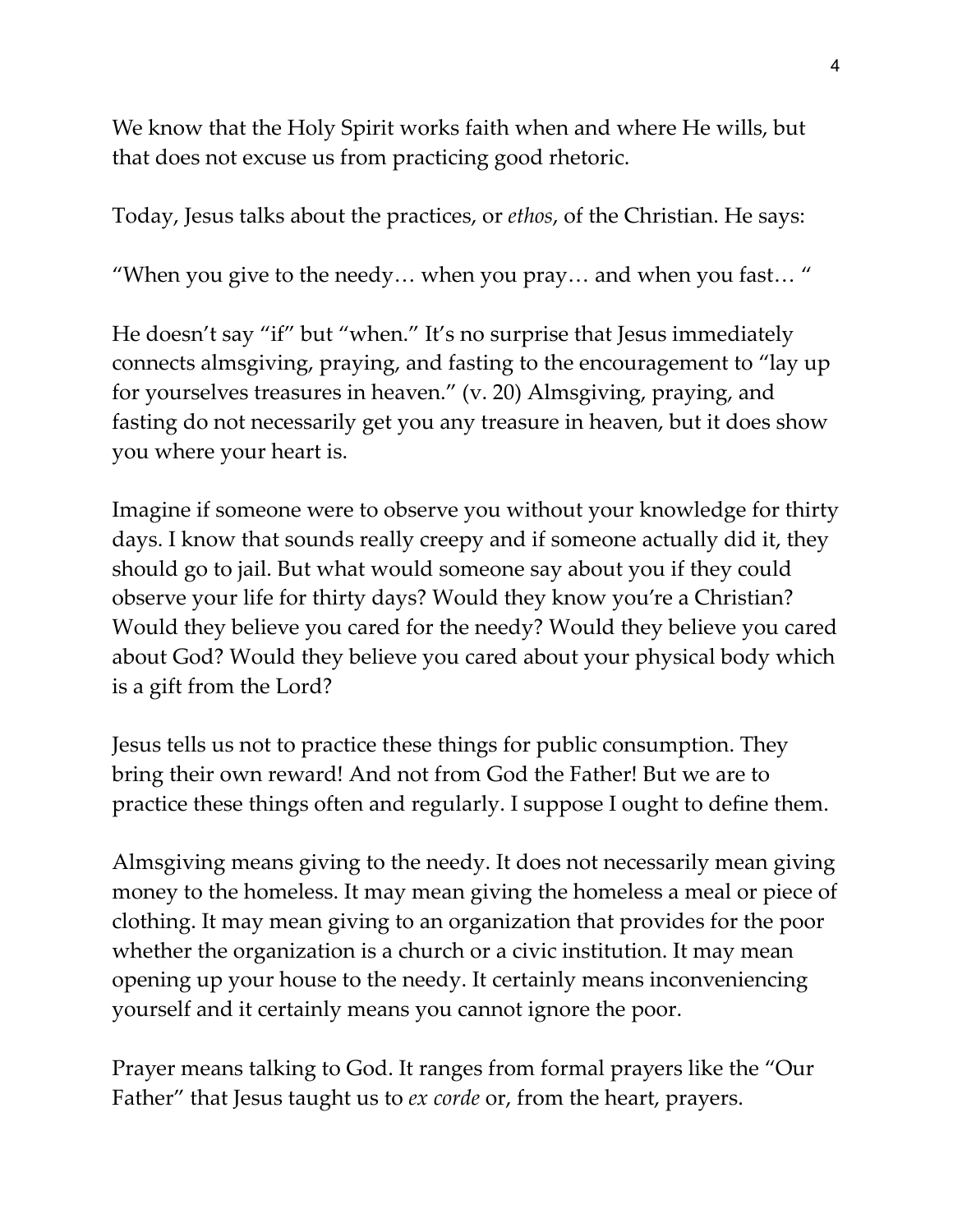We know that the Holy Spirit works faith when and where He wills, but that does not excuse us from practicing good rhetoric.

Today, Jesus talks about the practices, or *ethos*, of the Christian. He says:

"When you give to the needy… when you pray… and when you fast… "

He doesn't say "if" but "when." It's no surprise that Jesus immediately connects almsgiving, praying, and fasting to the encouragement to "lay up for yourselves treasures in heaven." (v. 20) Almsgiving, praying, and fasting do not necessarily get you any treasure in heaven, but it does show you where your heart is.

Imagine if someone were to observe you without your knowledge for thirty days. I know that sounds really creepy and if someone actually did it, they should go to jail. But what would someone say about you if they could observe your life for thirty days? Would they know you're a Christian? Would they believe you cared for the needy? Would they believe you cared about God? Would they believe you cared about your physical body which is a gift from the Lord?

Jesus tells us not to practice these things for public consumption. They bring their own reward! And not from God the Father! But we are to practice these things often and regularly. I suppose I ought to define them.

Almsgiving means giving to the needy. It does not necessarily mean giving money to the homeless. It may mean giving the homeless a meal or piece of clothing. It may mean giving to an organization that provides for the poor whether the organization is a church or a civic institution. It may mean opening up your house to the needy. It certainly means inconveniencing yourself and it certainly means you cannot ignore the poor.

Prayer means talking to God. It ranges from formal prayers like the "Our Father" that Jesus taught us to *ex corde* or, from the heart, prayers.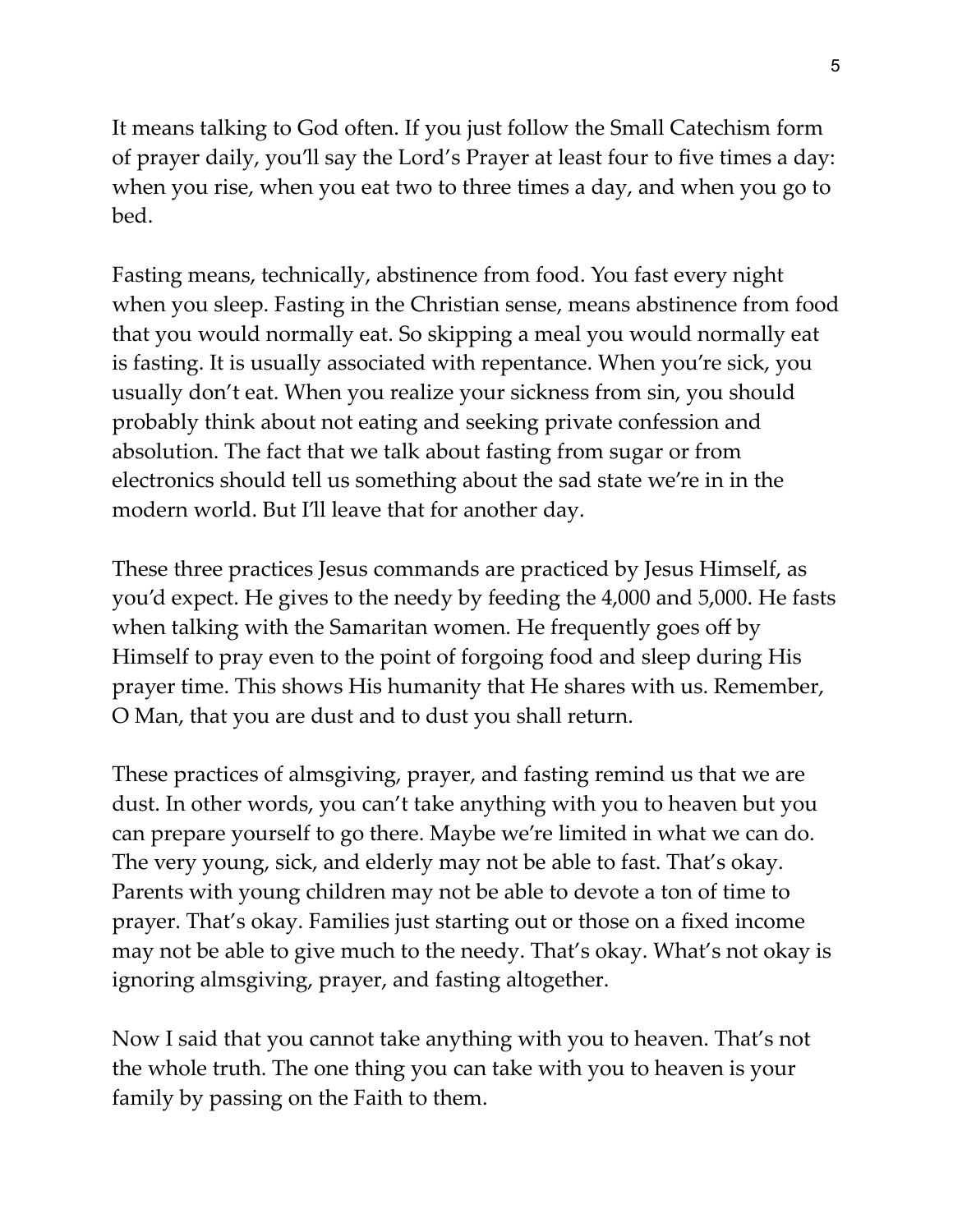It means talking to God often. If you just follow the Small Catechism form of prayer daily, you'll say the Lord's Prayer at least four to five times a day: when you rise, when you eat two to three times a day, and when you go to bed.

Fasting means, technically, abstinence from food. You fast every night when you sleep. Fasting in the Christian sense, means abstinence from food that you would normally eat. So skipping a meal you would normally eat is fasting. It is usually associated with repentance. When you're sick, you usually don't eat. When you realize your sickness from sin, you should probably think about not eating and seeking private confession and absolution. The fact that we talk about fasting from sugar or from electronics should tell us something about the sad state we're in in the modern world. But I'll leave that for another day.

These three practices Jesus commands are practiced by Jesus Himself, as you'd expect. He gives to the needy by feeding the 4,000 and 5,000. He fasts when talking with the Samaritan women. He frequently goes off by Himself to pray even to the point of forgoing food and sleep during His prayer time. This shows His humanity that He shares with us. Remember, O Man, that you are dust and to dust you shall return.

These practices of almsgiving, prayer, and fasting remind us that we are dust. In other words, you can't take anything with you to heaven but you can prepare yourself to go there. Maybe we're limited in what we can do. The very young, sick, and elderly may not be able to fast. That's okay. Parents with young children may not be able to devote a ton of time to prayer. That's okay. Families just starting out or those on a fixed income may not be able to give much to the needy. That's okay. What's not okay is ignoring almsgiving, prayer, and fasting altogether.

Now I said that you cannot take anything with you to heaven. That's not the whole truth. The one thing you can take with you to heaven is your family by passing on the Faith to them.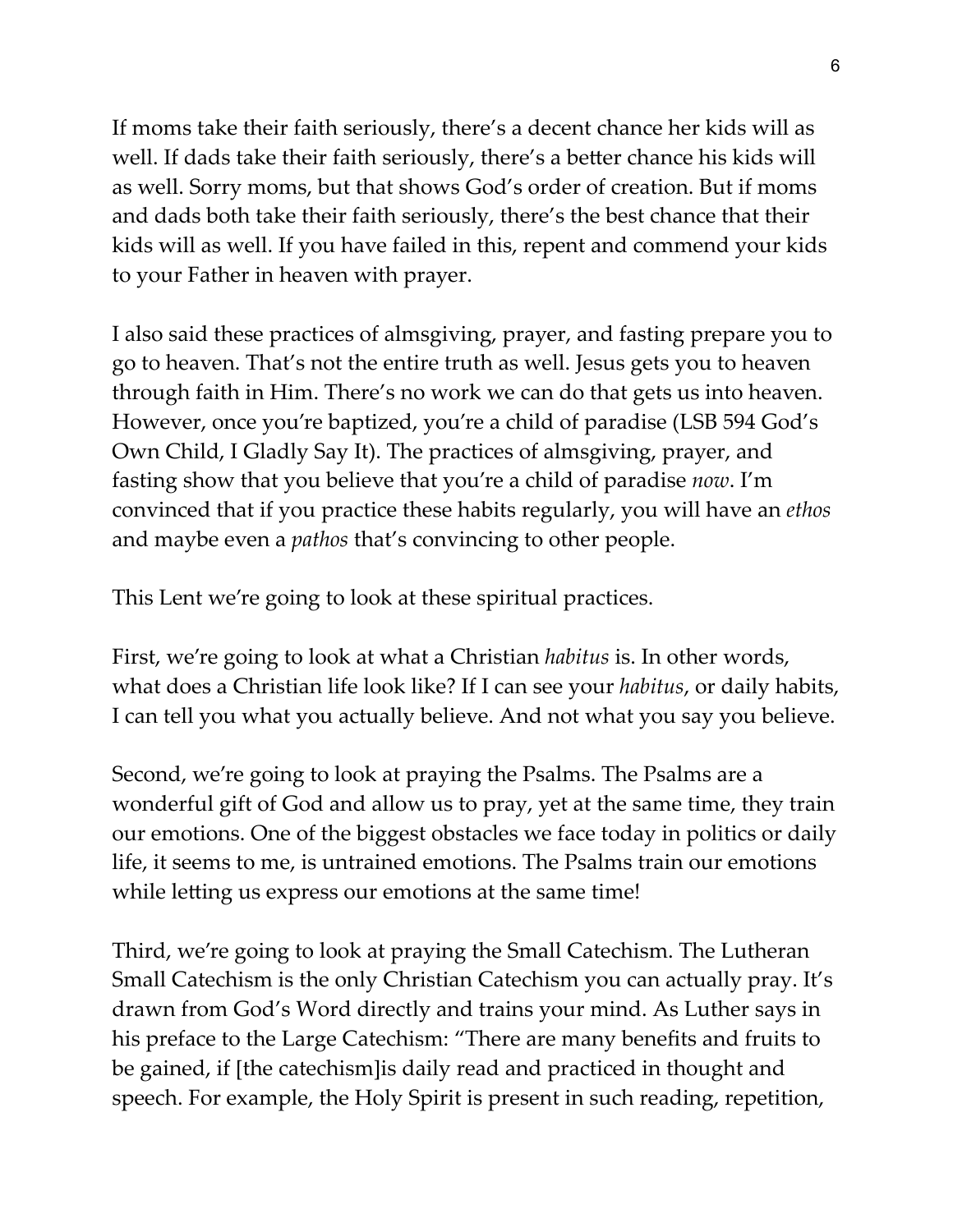If moms take their faith seriously, there's a decent chance her kids will as well. If dads take their faith seriously, there's a better chance his kids will as well. Sorry moms, but that shows God's order of creation. But if moms and dads both take their faith seriously, there's the best chance that their kids will as well. If you have failed in this, repent and commend your kids to your Father in heaven with prayer.

I also said these practices of almsgiving, prayer, and fasting prepare you to go to heaven. That's not the entire truth as well. Jesus gets you to heaven through faith in Him. There's no work we can do that gets us into heaven. However, once you're baptized, you're a child of paradise (LSB 594 God's Own Child, I Gladly Say It). The practices of almsgiving, prayer, and fasting show that you believe that you're a child of paradise *now*. I'm convinced that if you practice these habits regularly, you will have an *ethos* and maybe even a *pathos* that's convincing to other people.

This Lent we're going to look at these spiritual practices.

First, we're going to look at what a Christian *habitus* is. In other words, what does a Christian life look like? If I can see your *habitus*, or daily habits, I can tell you what you actually believe. And not what you say you believe.

Second, we're going to look at praying the Psalms. The Psalms are a wonderful gift of God and allow us to pray, yet at the same time, they train our emotions. One of the biggest obstacles we face today in politics or daily life, it seems to me, is untrained emotions. The Psalms train our emotions while letting us express our emotions at the same time!

Third, we're going to look at praying the Small Catechism. The Lutheran Small Catechism is the only Christian Catechism you can actually pray. It's drawn from God's Word directly and trains your mind. As Luther says in his preface to the Large Catechism: "There are many benefits and fruits to be gained, if [the catechism]is daily read and practiced in thought and speech. For example, the Holy Spirit is present in such reading, repetition,